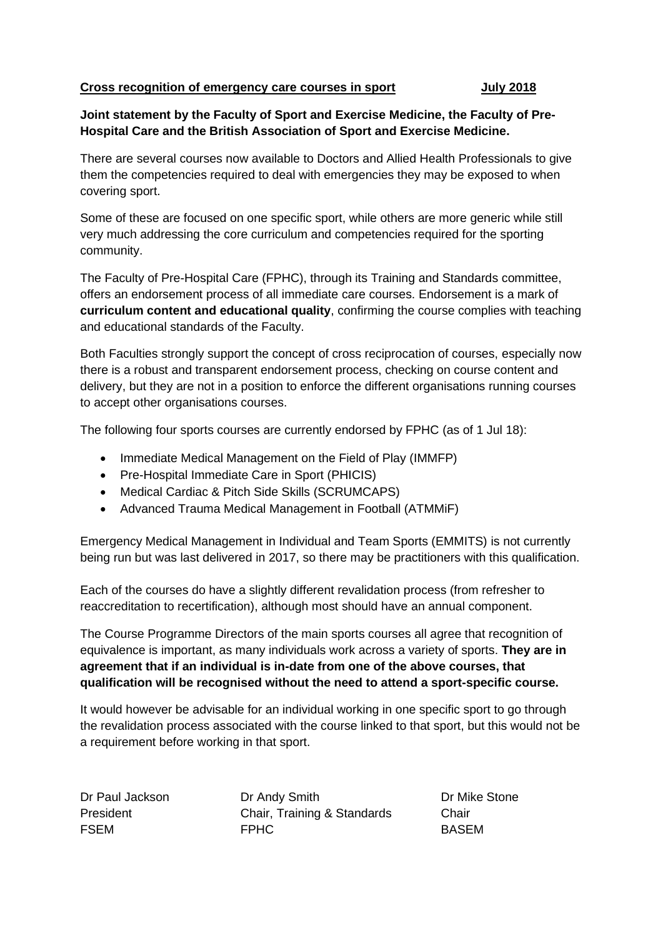## **Cross recognition of emergency care courses in sport July 2018**

## **Joint statement by the Faculty of Sport and Exercise Medicine, the Faculty of Pre-Hospital Care and the British Association of Sport and Exercise Medicine.**

There are several courses now available to Doctors and Allied Health Professionals to give them the competencies required to deal with emergencies they may be exposed to when covering sport.

Some of these are focused on one specific sport, while others are more generic while still very much addressing the core curriculum and competencies required for the sporting community.

The Faculty of Pre-Hospital Care (FPHC), through its Training and Standards committee, offers an endorsement process of all immediate care courses. Endorsement is a mark of **curriculum content and educational quality**, confirming the course complies with teaching and educational standards of the Faculty.

Both Faculties strongly support the concept of cross reciprocation of courses, especially now there is a robust and transparent endorsement process, checking on course content and delivery, but they are not in a position to enforce the different organisations running courses to accept other organisations courses.

The following four sports courses are currently endorsed by FPHC (as of 1 Jul 18):

- Immediate Medical Management on the Field of Play (IMMFP)
- Pre-Hospital Immediate Care in Sport (PHICIS)
- Medical Cardiac & Pitch Side Skills (SCRUMCAPS)
- Advanced Trauma Medical Management in Football (ATMMiF)

Emergency Medical Management in Individual and Team Sports (EMMITS) is not currently being run but was last delivered in 2017, so there may be practitioners with this qualification.

Each of the courses do have a slightly different revalidation process (from refresher to reaccreditation to recertification), although most should have an annual component.

The Course Programme Directors of the main sports courses all agree that recognition of equivalence is important, as many individuals work across a variety of sports. **They are in agreement that if an individual is in-date from one of the above courses, that qualification will be recognised without the need to attend a sport-specific course.**

It would however be advisable for an individual working in one specific sport to go through the revalidation process associated with the course linked to that sport, but this would not be a requirement before working in that sport.

Dr Paul Jackson Dr Andy Smith Dr Mike Stone President Chair, Training & Standards Chair FSEM FPHC BASEM